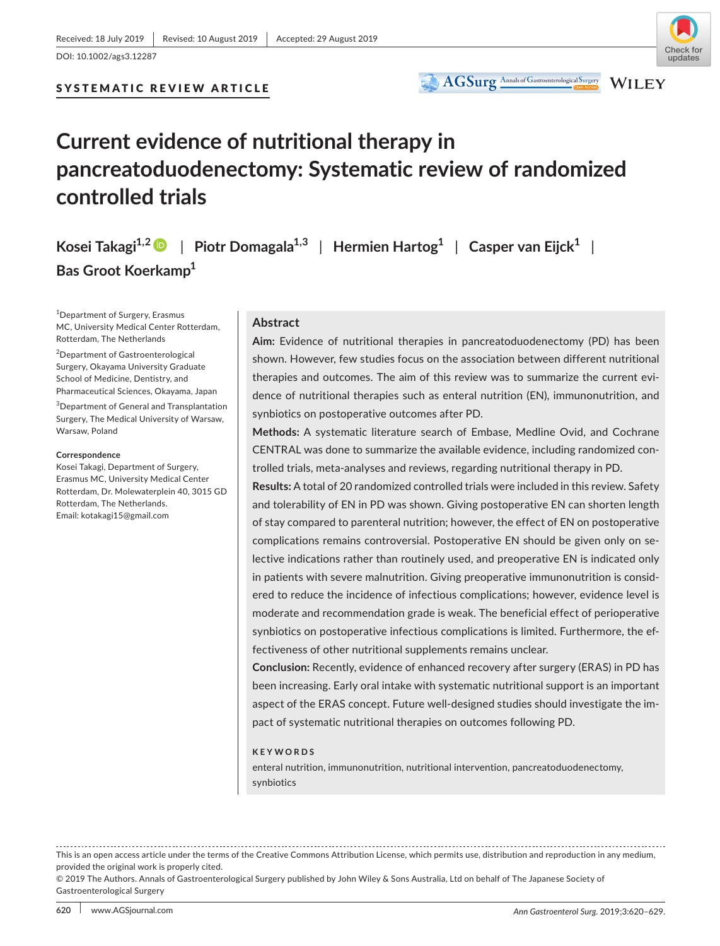DOI: 10.1002/ags3.12287

## SYSTEMATIC REVIEW ARTICLE



WILEY

AGSurg Annals of Gastroenterological Surgery

# **Current evidence of nutritional therapy in pancreatoduodenectomy: Systematic review of randomized controlled trials**

**Kosei** Takagi<sup>1,2</sup>  $\bullet$  | Piotr Domagala<sup>1,3</sup> | Hermien Hartog<sup>1</sup> | Casper van Eijck<sup>1</sup> | **Bas Groot Koerkamp1**

1 Department of Surgery, Erasmus MC, University Medical Center Rotterdam, Rotterdam, The Netherlands

<sup>2</sup>Department of Gastroenterological Surgery, Okayama University Graduate School of Medicine, Dentistry, and Pharmaceutical Sciences, Okayama, Japan

3 Department of General and Transplantation Surgery, The Medical University of Warsaw, Warsaw, Poland

#### **Correspondence**

Kosei Takagi, Department of Surgery, Erasmus MC, University Medical Center Rotterdam, Dr. Molewaterplein 40, 3015 GD Rotterdam, The Netherlands. Email: [kotakagi15@gmail.com](mailto:kotakagi15@gmail.com)

#### **Abstract**

**Aim:** Evidence of nutritional therapies in pancreatoduodenectomy (PD) has been shown. However, few studies focus on the association between different nutritional therapies and outcomes. The aim of this review was to summarize the current evidence of nutritional therapies such as enteral nutrition (EN), immunonutrition, and synbiotics on postoperative outcomes after PD.

**Methods:** A systematic literature search of Embase, Medline Ovid, and Cochrane CENTRAL was done to summarize the available evidence, including randomized controlled trials, meta‐analyses and reviews, regarding nutritional therapy in PD.

**Results:** A total of 20 randomized controlled trials were included in this review. Safety and tolerability of EN in PD was shown. Giving postoperative EN can shorten length of stay compared to parenteral nutrition; however, the effect of EN on postoperative complications remains controversial. Postoperative EN should be given only on selective indications rather than routinely used, and preoperative EN is indicated only in patients with severe malnutrition. Giving preoperative immunonutrition is considered to reduce the incidence of infectious complications; however, evidence level is moderate and recommendation grade is weak. The beneficial effect of perioperative synbiotics on postoperative infectious complications is limited. Furthermore, the effectiveness of other nutritional supplements remains unclear.

**Conclusion:** Recently, evidence of enhanced recovery after surgery (ERAS) in PD has been increasing. Early oral intake with systematic nutritional support is an important aspect of the ERAS concept. Future well‐designed studies should investigate the impact of systematic nutritional therapies on outcomes following PD.

#### **KEYWORDS**

enteral nutrition, immunonutrition, nutritional intervention, pancreatoduodenectomy, synbiotics

This is an open access article under the terms of the [Creative Commons Attribution](http://creativecommons.org/licenses/by/4.0/) License, which permits use, distribution and reproduction in any medium, provided the original work is properly cited.

<sup>© 2019</sup> The Authors. Annals of Gastroenterological Surgery published by John Wiley & Sons Australia, Ltd on behalf of The Japanese Society of Gastroenterological Surgery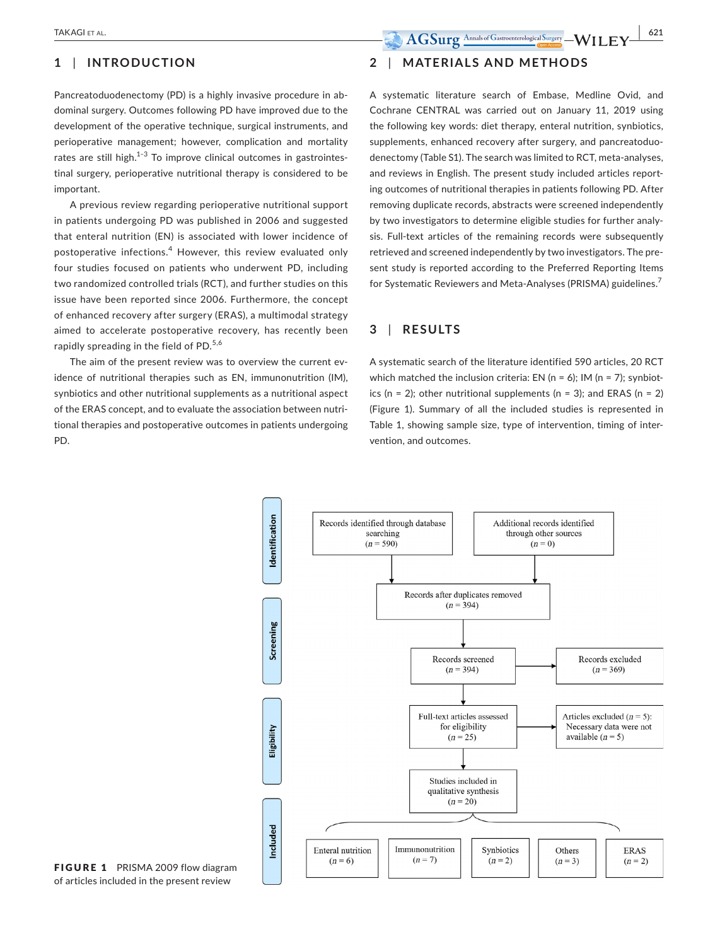# **1** | **INTRODUCTION**

Pancreatoduodenectomy (PD) is a highly invasive procedure in abdominal surgery. Outcomes following PD have improved due to the development of the operative technique, surgical instruments, and perioperative management; however, complication and mortality rates are still high. $1-3$  To improve clinical outcomes in gastrointestinal surgery, perioperative nutritional therapy is considered to be important.

A previous review regarding perioperative nutritional support in patients undergoing PD was published in 2006 and suggested that enteral nutrition (EN) is associated with lower incidence of postoperative infections.<sup>4</sup> However, this review evaluated only four studies focused on patients who underwent PD, including two randomized controlled trials (RCT), and further studies on this issue have been reported since 2006. Furthermore, the concept of enhanced recovery after surgery (ERAS), a multimodal strategy aimed to accelerate postoperative recovery, has recently been rapidly spreading in the field of PD.<sup>5,6</sup>

The aim of the present review was to overview the current evidence of nutritional therapies such as EN, immunonutrition (IM), synbiotics and other nutritional supplements as a nutritional aspect of the ERAS concept, and to evaluate the association between nutritional therapies and postoperative outcomes in patients undergoing PD.

# **2** | **MATERIALS AND METHODS**

A systematic literature search of Embase, Medline Ovid, and Cochrane CENTRAL was carried out on January 11, 2019 using the following key words: diet therapy, enteral nutrition, synbiotics, supplements, enhanced recovery after surgery, and pancreatoduodenectomy (Table S1). The search was limited to RCT, meta‐analyses, and reviews in English. The present study included articles reporting outcomes of nutritional therapies in patients following PD. After removing duplicate records, abstracts were screened independently by two investigators to determine eligible studies for further analysis. Full-text articles of the remaining records were subsequently retrieved and screened independently by two investigators. The present study is reported according to the Preferred Reporting Items for Systematic Reviewers and Meta-Analyses (PRISMA) guidelines.<sup>7</sup>

#### **3** | **RESULTS**

A systematic search of the literature identified 590 articles, 20 RCT which matched the inclusion criteria: EN ( $n = 6$ ); IM ( $n = 7$ ); synbiotics ( $n = 2$ ); other nutritional supplements ( $n = 3$ ); and ERAS ( $n = 2$ ) (Figure 1). Summary of all the included studies is represented in Table 1, showing sample size, type of intervention, timing of intervention, and outcomes.



FIGURE 1 PRISMA 2009 flow diagram of articles included in the present review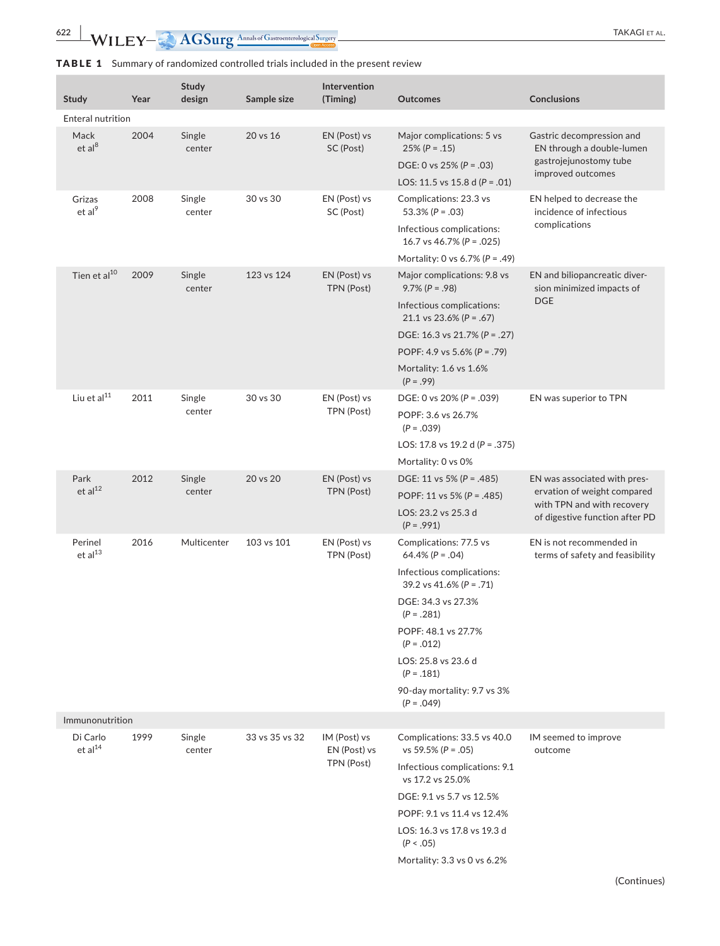**622** WILEY- AGSurg Annals of Gastroenterological Surgery **CALL COVER AREAGEMENT ALL** 

# TABLE 1 Summary of randomized controlled trials included in the present review

| Study                           | Year | <b>Study</b><br>design | Sample size    | Intervention<br>(Timing)                   | <b>Outcomes</b>                                                                                                                                                                                                                                                      | <b>Conclusions</b>                                                                                                          |  |  |
|---------------------------------|------|------------------------|----------------|--------------------------------------------|----------------------------------------------------------------------------------------------------------------------------------------------------------------------------------------------------------------------------------------------------------------------|-----------------------------------------------------------------------------------------------------------------------------|--|--|
| <b>Enteral nutrition</b>        |      |                        |                |                                            |                                                                                                                                                                                                                                                                      |                                                                                                                             |  |  |
| Mack<br>et al <sup>8</sup>      | 2004 | Single<br>center       | 20 vs 16       | EN (Post) vs<br>SC (Post)                  | Major complications: 5 vs<br>$25\% (P=.15)$<br>DGE: 0 vs 25% ( $P = .03$ )<br>LOS: 11.5 vs 15.8 d ( $P = .01$ )                                                                                                                                                      | Gastric decompression and<br>EN through a double-lumen<br>gastrojejunostomy tube<br>improved outcomes                       |  |  |
| Grizas<br>et al <sup>9</sup>    | 2008 | Single<br>center       | 30 vs 30       | EN (Post) vs<br>SC (Post)                  | Complications: 23.3 vs<br>53.3% ( $P = .03$ )<br>Infectious complications:<br>16.7 vs 46.7% ( $P = .025$ )<br>Mortality: 0 vs 6.7% ( $P = .49$ )                                                                                                                     | EN helped to decrease the<br>incidence of infectious<br>complications                                                       |  |  |
| Tien et al <sup>10</sup>        | 2009 | Single<br>center       | 123 vs 124     | EN (Post) vs<br>TPN (Post)                 | Major complications: 9.8 vs<br>$9.7\% (P = .98)$<br>Infectious complications:<br>21.1 vs 23.6% ( $P = .67$ )<br>DGE: 16.3 vs 21.7% ( $P = .27$ )<br>POPF: 4.9 vs 5.6% (P = .79)<br>Mortality: 1.6 vs 1.6%<br>$(P = .99)$                                             | EN and biliopancreatic diver-<br>sion minimized impacts of<br><b>DGE</b>                                                    |  |  |
| Liu et al $^{11}$               | 2011 | Single<br>center       | 30 vs 30       | EN (Post) vs<br>TPN (Post)                 | DGE: 0 ys 20% ( $P = .039$ )<br>POPF: 3.6 vs 26.7%<br>$(P = .039)$<br>LOS: 17.8 vs 19.2 d ( $P = .375$ )<br>Mortality: 0 vs 0%                                                                                                                                       | EN was superior to TPN                                                                                                      |  |  |
| Park<br>et al <sup>12</sup>     | 2012 | Single<br>center       | 20 vs 20       | EN (Post) vs<br>TPN (Post)                 | DGE: 11 vs 5% ( $P = .485$ )<br>POPF: 11 vs 5% ( $P = .485$ )<br>LOS: 23.2 vs 25.3 d<br>$(P = .991)$                                                                                                                                                                 | EN was associated with pres-<br>ervation of weight compared<br>with TPN and with recovery<br>of digestive function after PD |  |  |
| Perinel<br>et al <sup>13</sup>  | 2016 | Multicenter            | 103 vs 101     | EN (Post) vs<br>TPN (Post)                 | Complications: 77.5 vs<br>64.4% ( $P = .04$ )<br>Infectious complications:<br>39.2 vs 41.6% ( $P = .71$ )<br>DGE: 34.3 vs 27.3%<br>$(P=.281)$<br>POPF: 48.1 vs 27.7%<br>$(P=.012)$<br>LOS: 25.8 vs 23.6 d<br>$(P=.181)$<br>90-day mortality: 9.7 vs 3%<br>$(P=.049)$ | EN is not recommended in<br>terms of safety and feasibility                                                                 |  |  |
| Immunonutrition                 |      |                        |                |                                            |                                                                                                                                                                                                                                                                      |                                                                                                                             |  |  |
| Di Carlo<br>et al <sup>14</sup> | 1999 | Single<br>center       | 33 vs 35 vs 32 | IM (Post) vs<br>EN (Post) vs<br>TPN (Post) | Complications: 33.5 vs 40.0<br>vs 59.5% ( $P = .05$ )<br>Infectious complications: 9.1<br>vs 17.2 vs 25.0%<br>DGE: 9.1 vs 5.7 vs 12.5%<br>POPF: 9.1 vs 11.4 vs 12.4%<br>LOS: 16.3 vs 17.8 vs 19.3 d<br>(P < .05)<br>Mortality: 3.3 vs 0 vs 6.2%                      | IM seemed to improve<br>outcome                                                                                             |  |  |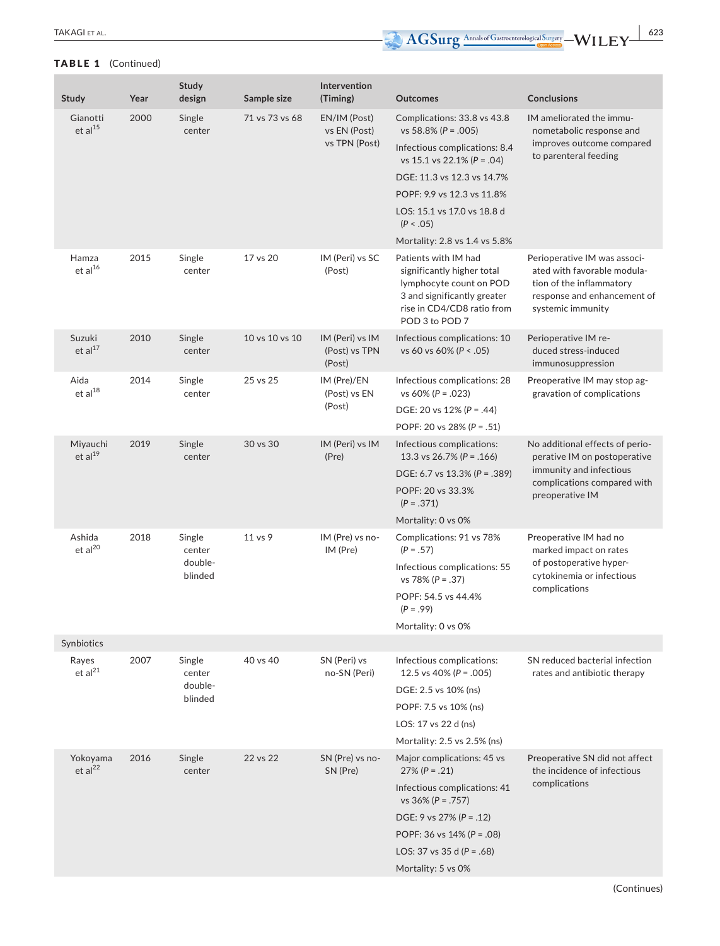## TABLE 1 (Continued)

| <b>Study</b>                    | Year | Study<br>design                        | Sample size    | Intervention<br>(Timing)                      | Outcomes                                                                                                                                                     | <b>Conclusions</b>                                                                                                                          |
|---------------------------------|------|----------------------------------------|----------------|-----------------------------------------------|--------------------------------------------------------------------------------------------------------------------------------------------------------------|---------------------------------------------------------------------------------------------------------------------------------------------|
| Gianotti<br>et al <sup>15</sup> | 2000 | Single<br>center                       | 71 vs 73 vs 68 | EN/IM (Post)<br>vs EN (Post)<br>vs TPN (Post) | Complications: 33.8 vs 43.8<br>vs 58.8% ( $P = .005$ )                                                                                                       | IM ameliorated the immu-<br>nometabolic response and<br>improves outcome compared<br>to parenteral feeding                                  |
|                                 |      |                                        |                |                                               | Infectious complications: 8.4<br>vs 15.1 vs 22.1% ( $P = .04$ )                                                                                              |                                                                                                                                             |
|                                 |      |                                        |                |                                               | DGE: 11.3 vs 12.3 vs 14.7%                                                                                                                                   |                                                                                                                                             |
|                                 |      |                                        |                |                                               | POPF: 9.9 vs 12.3 vs 11.8%                                                                                                                                   |                                                                                                                                             |
|                                 |      |                                        |                |                                               | LOS: 15.1 vs 17.0 vs 18.8 d<br>(P < .05)                                                                                                                     |                                                                                                                                             |
|                                 |      |                                        |                |                                               | Mortality: 2.8 vs 1.4 vs 5.8%                                                                                                                                |                                                                                                                                             |
| Hamza<br>et al <sup>16</sup>    | 2015 | Single<br>center                       | 17 vs 20       | IM (Peri) vs SC<br>(Post)                     | Patients with IM had<br>significantly higher total<br>lymphocyte count on POD<br>3 and significantly greater<br>rise in CD4/CD8 ratio from<br>POD 3 to POD 7 | Perioperative IM was associ-<br>ated with favorable modula-<br>tion of the inflammatory<br>response and enhancement of<br>systemic immunity |
| Suzuki<br>et al <sup>17</sup>   | 2010 | Single<br>center                       | 10 vs 10 vs 10 | IM (Peri) vs IM<br>(Post) vs TPN<br>(Post)    | Infectious complications: 10<br>vs 60 vs 60% (P < .05)                                                                                                       | Perioperative IM re-<br>duced stress-induced<br>immunosuppression                                                                           |
| Aida<br>et al <sup>18</sup>     | 2014 | Single<br>center                       | 25 vs 25       | IM (Pre)/EN<br>(Post) vs EN<br>(Post)         | Infectious complications: 28<br>vs $60\%$ (P = .023)                                                                                                         | Preoperative IM may stop ag-<br>gravation of complications                                                                                  |
|                                 |      |                                        |                |                                               | DGE: 20 vs $12\%$ (P = .44)                                                                                                                                  |                                                                                                                                             |
|                                 |      |                                        |                |                                               | POPF: 20 vs 28% ( $P = .51$ )                                                                                                                                |                                                                                                                                             |
| Miyauchi<br>et al <sup>19</sup> | 2019 | Single<br>center                       | 30 vs 30       | IM (Peri) vs IM<br>(Pre)                      | Infectious complications:<br>13.3 vs 26.7% ( $P = .166$ )                                                                                                    | No additional effects of perio-<br>perative IM on postoperative                                                                             |
|                                 |      |                                        |                |                                               | DGE: 6.7 vs 13.3% (P = .389)                                                                                                                                 | immunity and infectious<br>complications compared with                                                                                      |
|                                 |      |                                        |                |                                               | POPF: 20 vs 33.3%<br>$(P=.371)$                                                                                                                              | preoperative IM                                                                                                                             |
|                                 |      |                                        |                |                                               | Mortality: 0 vs 0%                                                                                                                                           |                                                                                                                                             |
| Ashida<br>et al <sup>20</sup>   | 2018 | Single<br>center<br>double-<br>blinded | 11 vs 9        | IM (Pre) vs no-<br>IM (Pre)                   | Complications: 91 vs 78%<br>$(P=.57)$                                                                                                                        | Preoperative IM had no<br>marked impact on rates<br>of postoperative hyper-<br>cytokinemia or infectious                                    |
|                                 |      |                                        |                |                                               | Infectious complications: 55<br>vs 78% ( $P = .37$ )                                                                                                         |                                                                                                                                             |
|                                 |      |                                        |                |                                               | POPF: 54.5 vs 44.4%<br>$(P = .99)$                                                                                                                           | complications                                                                                                                               |
|                                 |      |                                        |                |                                               | Mortality: 0 vs 0%                                                                                                                                           |                                                                                                                                             |
| Synbiotics                      |      |                                        |                |                                               |                                                                                                                                                              |                                                                                                                                             |
| Rayes<br>et al <sup>21</sup>    | 2007 | Single<br>center<br>double-<br>blinded | 40 vs 40       | SN (Peri) vs<br>no-SN (Peri)                  | Infectious complications:<br>12.5 vs 40% ( $P = .005$ )                                                                                                      | SN reduced bacterial infection<br>rates and antibiotic therapy                                                                              |
|                                 |      |                                        |                |                                               | DGE: 2.5 vs 10% (ns)                                                                                                                                         |                                                                                                                                             |
|                                 |      |                                        |                |                                               | POPF: 7.5 vs 10% (ns)                                                                                                                                        |                                                                                                                                             |
|                                 |      |                                        |                |                                               | LOS: 17 vs 22 d (ns)                                                                                                                                         |                                                                                                                                             |
|                                 |      |                                        |                |                                               | Mortality: 2.5 vs 2.5% (ns)                                                                                                                                  |                                                                                                                                             |
| Yokoyama<br>et al <sup>22</sup> | 2016 | Single<br>center                       | 22 vs 22       | SN (Pre) vs no-<br>SN (Pre)                   | Major complications: 45 vs<br>$27\% (P=.21)$                                                                                                                 | Preoperative SN did not affect<br>the incidence of infectious<br>complications                                                              |
|                                 |      |                                        |                |                                               | Infectious complications: 11                                                                                                                                 |                                                                                                                                             |

Infectious complications: 41 vs 36% (*P* = .757) DGE: 9 vs 27% (*P* = .12) POPF: 36 vs 14% (*P* = .08) LOS: 37 vs 35 d (*P* = .68) Mortality: 5 vs 0%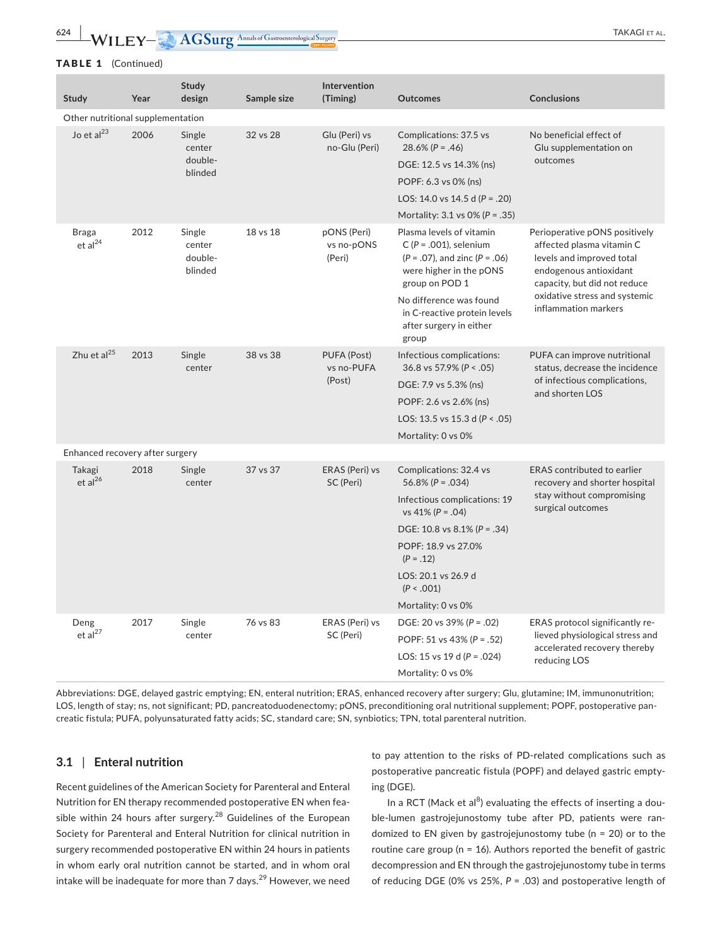**624 WILEY- AGSurg** Annals of Gastroenterological Surgery **and Annals of Gastroenterological** Surgery

#### TABLE 1 (Continued)

| Study                               | Year | Study<br>design                        | Sample size | Intervention<br>(Timing)            | <b>Outcomes</b>                                                                                                                                  | <b>Conclusions</b>                                                                                                                                                                                         |  |  |
|-------------------------------------|------|----------------------------------------|-------------|-------------------------------------|--------------------------------------------------------------------------------------------------------------------------------------------------|------------------------------------------------------------------------------------------------------------------------------------------------------------------------------------------------------------|--|--|
| Other nutritional supplementation   |      |                                        |             |                                     |                                                                                                                                                  |                                                                                                                                                                                                            |  |  |
| Jo et al <sup>23</sup>              | 2006 | Single<br>center<br>double-<br>blinded | 32 vs 28    | Glu (Peri) vs<br>no-Glu (Peri)      | Complications: 37.5 vs<br>$28.6\% (P = .46)$                                                                                                     | No beneficial effect of<br>Glu supplementation on<br>outcomes                                                                                                                                              |  |  |
|                                     |      |                                        |             |                                     | DGE: 12.5 vs 14.3% (ns)                                                                                                                          |                                                                                                                                                                                                            |  |  |
|                                     |      |                                        |             |                                     | POPF: 6.3 vs 0% (ns)                                                                                                                             |                                                                                                                                                                                                            |  |  |
|                                     |      |                                        |             |                                     | LOS: 14.0 vs 14.5 d ( $P = .20$ )                                                                                                                |                                                                                                                                                                                                            |  |  |
|                                     |      |                                        |             |                                     | Mortality: $3.1$ vs $0\%$ (P = .35)                                                                                                              |                                                                                                                                                                                                            |  |  |
| <b>Braga</b><br>et al <sup>24</sup> | 2012 | Single<br>center<br>double-<br>blinded | 18 vs 18    | pONS (Peri)<br>vs no-pONS<br>(Peri) | Plasma levels of vitamin<br>$C (P = .001)$ , selenium<br>$(P = .07)$ , and zinc $(P = .06)$<br>were higher in the pONS<br>group on POD 1         | Perioperative pONS positively<br>affected plasma vitamin C<br>levels and improved total<br>endogenous antioxidant<br>capacity, but did not reduce<br>oxidative stress and systemic<br>inflammation markers |  |  |
|                                     |      |                                        |             |                                     | No difference was found<br>in C-reactive protein levels<br>after surgery in either<br>group                                                      |                                                                                                                                                                                                            |  |  |
| Zhu et al $^{25}$                   | 2013 | Single<br>center                       | 38 vs 38    | PUFA (Post)<br>vs no-PUFA<br>(Post) | Infectious complications:<br>36.8 vs 57.9% ( $P < .05$ )<br>DGE: 7.9 vs 5.3% (ns)<br>POPF: 2.6 vs 2.6% (ns)<br>LOS: 13.5 vs 15.3 d ( $P < .05$ ) | PUFA can improve nutritional<br>status, decrease the incidence<br>of infectious complications,<br>and shorten LOS                                                                                          |  |  |
|                                     |      |                                        |             |                                     | Mortality: 0 vs 0%                                                                                                                               |                                                                                                                                                                                                            |  |  |
| Enhanced recovery after surgery     |      |                                        |             |                                     |                                                                                                                                                  |                                                                                                                                                                                                            |  |  |
| Takagi<br>et al <sup>26</sup>       | 2018 | Single<br>center                       | 37 vs 37    | ERAS (Peri) vs<br>SC (Peri)         | Complications: 32.4 vs<br>$56.8\% (P=.034)$                                                                                                      | <b>ERAS</b> contributed to earlier<br>recovery and shorter hospital<br>stay without compromising<br>surgical outcomes                                                                                      |  |  |
|                                     |      |                                        |             |                                     | Infectious complications: 19<br>vs 41% ( $P = .04$ )                                                                                             |                                                                                                                                                                                                            |  |  |
|                                     |      |                                        |             |                                     | DGE: 10.8 vs $8.1\%$ (P = .34)                                                                                                                   |                                                                                                                                                                                                            |  |  |
|                                     |      |                                        |             |                                     | POPF: 18.9 vs 27.0%<br>$(P=.12)$                                                                                                                 |                                                                                                                                                                                                            |  |  |
|                                     |      |                                        |             |                                     | LOS: 20.1 vs 26.9 d<br>(P < .001)                                                                                                                |                                                                                                                                                                                                            |  |  |
|                                     |      |                                        |             |                                     | Mortality: 0 vs 0%                                                                                                                               |                                                                                                                                                                                                            |  |  |
| Deng<br>et al <sup>27</sup>         | 2017 | Single<br>center                       | 76 vs 83    | ERAS (Peri) vs<br>SC (Peri)         | DGE: 20 vs 39% ( $P = .02$ )                                                                                                                     | ERAS protocol significantly re-                                                                                                                                                                            |  |  |
|                                     |      |                                        |             |                                     | POPF: 51 vs 43% ( $P = .52$ )                                                                                                                    | lieved physiological stress and<br>accelerated recovery thereby                                                                                                                                            |  |  |
|                                     |      |                                        |             |                                     | LOS: 15 vs 19 d ( $P = .024$ )                                                                                                                   | reducing LOS                                                                                                                                                                                               |  |  |
|                                     |      |                                        |             |                                     | Mortality: 0 vs 0%                                                                                                                               |                                                                                                                                                                                                            |  |  |

Abbreviations: DGE, delayed gastric emptying; EN, enteral nutrition; ERAS, enhanced recovery after surgery; Glu, glutamine; IM, immunonutrition; LOS, length of stay; ns, not significant; PD, pancreatoduodenectomy; pONS, preconditioning oral nutritional supplement; POPF, postoperative pancreatic fistula; PUFA, polyunsaturated fatty acids; SC, standard care; SN, synbiotics; TPN, total parenteral nutrition.

#### **3.1** | **Enteral nutrition**

Recent guidelines of the American Society for Parenteral and Enteral Nutrition for EN therapy recommended postoperative EN when feasible within 24 hours after surgery.<sup>28</sup> Guidelines of the European Society for Parenteral and Enteral Nutrition for clinical nutrition in surgery recommended postoperative EN within 24 hours in patients in whom early oral nutrition cannot be started, and in whom oral intake will be inadequate for more than  $7$  days.<sup>29</sup> However, we need to pay attention to the risks of PD‐related complications such as postoperative pancreatic fistula (POPF) and delayed gastric emptying (DGE).

In a RCT (Mack et al $^{8}$ ) evaluating the effects of inserting a double‐lumen gastrojejunostomy tube after PD, patients were randomized to EN given by gastrojejunostomy tube (n = 20) or to the routine care group (n = 16). Authors reported the benefit of gastric decompression and EN through the gastrojejunostomy tube in terms of reducing DGE (0% vs 25%, *P* = .03) and postoperative length of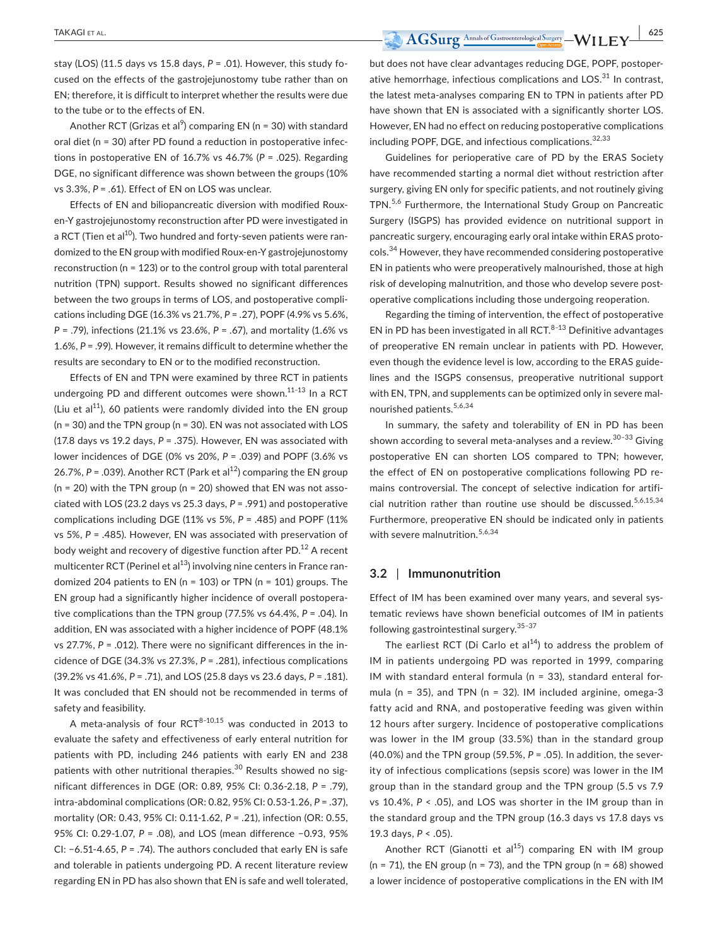stay (LOS) (11.5 days vs 15.8 days, *P* = .01). However, this study focused on the effects of the gastrojejunostomy tube rather than on EN; therefore, it is difficult to interpret whether the results were due to the tube or to the effects of EN.

Another RCT (Grizas et al $\degree$ ) comparing EN (n = 30) with standard oral diet (n = 30) after PD found a reduction in postoperative infections in postoperative EN of 16.7% vs 46.7% (*P* = .025). Regarding DGE, no significant difference was shown between the groups (10% vs 3.3%, *P* = .61). Effect of EN on LOS was unclear.

Effects of EN and biliopancreatic diversion with modified Roux‐ en‐Y gastrojejunostomy reconstruction after PD were investigated in a RCT (Tien et al<sup>10</sup>). Two hundred and forty-seven patients were randomized to the EN group with modified Roux‐en‐Y gastrojejunostomy reconstruction (n = 123) or to the control group with total parenteral nutrition (TPN) support. Results showed no significant differences between the two groups in terms of LOS, and postoperative complications including DGE (16.3% vs 21.7%, *P* = .27), POPF (4.9% vs 5.6%, *P* = .79), infections (21.1% vs 23.6%, *P* = .67), and mortality (1.6% vs 1.6%, *P* = .99). However, it remains difficult to determine whether the results are secondary to EN or to the modified reconstruction.

Effects of EN and TPN were examined by three RCT in patients undergoing PD and different outcomes were shown. $11-13$  In a RCT (Liu et al<sup>11</sup>), 60 patients were randomly divided into the EN group (n = 30) and the TPN group (n = 30). EN was not associated with LOS (17.8 days vs 19.2 days, *P* = .375). However, EN was associated with lower incidences of DGE (0% vs 20%, *P* = .039) and POPF (3.6% vs 26.7%,  $P = 0.039$ ). Another RCT (Park et al<sup>12</sup>) comparing the EN group  $(n = 20)$  with the TPN group  $(n = 20)$  showed that EN was not associated with LOS (23.2 days vs 25.3 days, *P* = .991) and postoperative complications including DGE (11% vs 5%, *P* = .485) and POPF (11% vs 5%, *P* = .485). However, EN was associated with preservation of body weight and recovery of digestive function after PD. $^{12}$  A recent multicenter RCT (Perinel et al $^{13}$ ) involving nine centers in France randomized 204 patients to EN (n = 103) or TPN (n = 101) groups. The EN group had a significantly higher incidence of overall postoperative complications than the TPN group (77.5% vs 64.4%, *P* = .04). In addition, EN was associated with a higher incidence of POPF (48.1% vs 27.7%, *P* = .012). There were no significant differences in the incidence of DGE (34.3% vs 27.3%, *P* = .281), infectious complications (39.2% vs 41.6%, *P* = .71), and LOS (25.8 days vs 23.6 days, *P* = .181). It was concluded that EN should not be recommended in terms of safety and feasibility.

A meta-analysis of four  $RCT^{8-10,15}$  was conducted in 2013 to evaluate the safety and effectiveness of early enteral nutrition for patients with PD, including 246 patients with early EN and 238 patients with other nutritional therapies. $30$  Results showed no significant differences in DGE (OR: 0.89, 95% CI: 0.36‐2.18, *P* = .79), intra‐abdominal complications (OR: 0.82, 95% CI: 0.53‐1.26, *P* = .37), mortality (OR: 0.43, 95% CI: 0.11‐1.62, *P* = .21), infection (OR: 0.55, 95% CI: 0.29‐1.07, *P* = .08), and LOS (mean difference −0.93, 95% CI: −6.51‐4.65, *P* = .74). The authors concluded that early EN is safe and tolerable in patients undergoing PD. A recent literature review regarding EN in PD has also shown that EN is safe and well tolerated, but does not have clear advantages reducing DGE, POPF, postoperative hemorrhage, infectious complications and  $LOS.^{31}$  In contrast, the latest meta‐analyses comparing EN to TPN in patients after PD have shown that EN is associated with a significantly shorter LOS. However, EN had no effect on reducing postoperative complications including POPF, DGE, and infectious complications.<sup>32,33</sup>

Guidelines for perioperative care of PD by the ERAS Society have recommended starting a normal diet without restriction after surgery, giving EN only for specific patients, and not routinely giving TPN.5,6 Furthermore, the International Study Group on Pancreatic Surgery (ISGPS) has provided evidence on nutritional support in pancreatic surgery, encouraging early oral intake within ERAS protocols.34 However, they have recommended considering postoperative EN in patients who were preoperatively malnourished, those at high risk of developing malnutrition, and those who develop severe postoperative complications including those undergoing reoperation.

Regarding the timing of intervention, the effect of postoperative EN in PD has been investigated in all RCT. $8-13$  Definitive advantages of preoperative EN remain unclear in patients with PD. However, even though the evidence level is low, according to the ERAS guidelines and the ISGPS consensus, preoperative nutritional support with EN, TPN, and supplements can be optimized only in severe malnourished patients.5,6,34

In summary, the safety and tolerability of EN in PD has been shown according to several meta-analyses and a review.<sup>30-33</sup> Giving postoperative EN can shorten LOS compared to TPN; however, the effect of EN on postoperative complications following PD remains controversial. The concept of selective indication for artificial nutrition rather than routine use should be discussed.<sup>5,6,15,34</sup> Furthermore, preoperative EN should be indicated only in patients with severe malnutrition.<sup>5,6,34</sup>

#### **3.2** | **Immunonutrition**

Effect of IM has been examined over many years, and several systematic reviews have shown beneficial outcomes of IM in patients following gastrointestinal surgery.  $35-37$ 

The earliest RCT (Di Carlo et  $al^{14}$ ) to address the problem of IM in patients undergoing PD was reported in 1999, comparing IM with standard enteral formula (n = 33), standard enteral formula ( $n = 35$ ), and TPN ( $n = 32$ ). IM included arginine, omega-3 fatty acid and RNA, and postoperative feeding was given within 12 hours after surgery. Incidence of postoperative complications was lower in the IM group (33.5%) than in the standard group (40.0%) and the TPN group (59.5%, *P* = .05). In addition, the severity of infectious complications (sepsis score) was lower in the IM group than in the standard group and the TPN group (5.5 vs 7.9 vs 10.4%, *P* < .05), and LOS was shorter in the IM group than in the standard group and the TPN group (16.3 days vs 17.8 days vs 19.3 days, *P* < .05).

Another RCT (Gianotti et al<sup>15</sup>) comparing EN with IM group ( $n = 71$ ), the EN group ( $n = 73$ ), and the TPN group ( $n = 68$ ) showed a lower incidence of postoperative complications in the EN with IM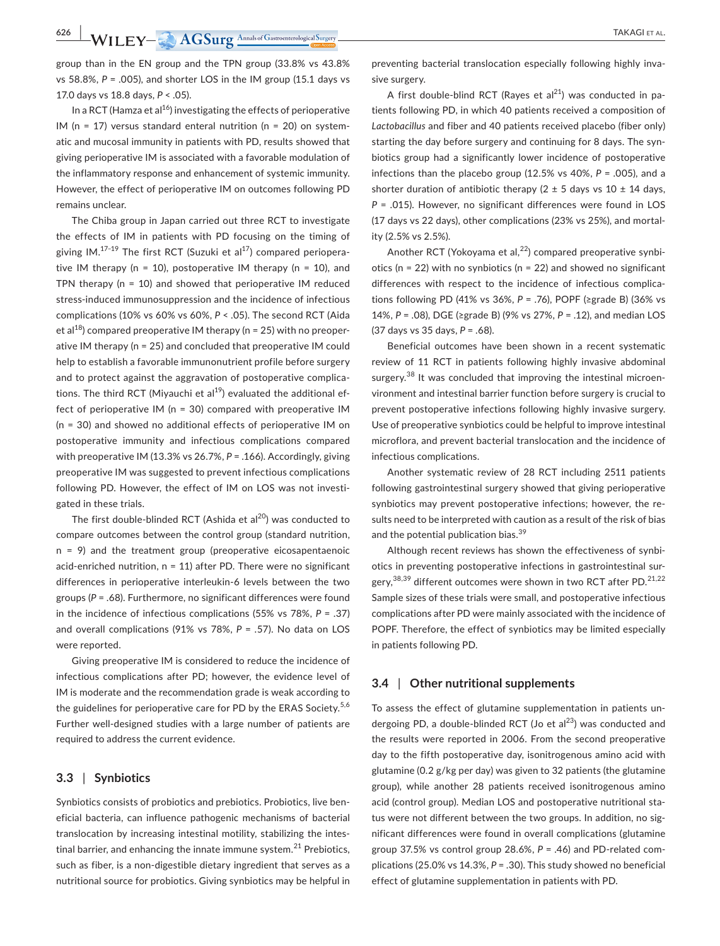group than in the EN group and the TPN group (33.8% vs 43.8% vs 58.8%, *P* = .005), and shorter LOS in the IM group (15.1 days vs 17.0 days vs 18.8 days, *P* < .05).

In a RCT (Hamza et al<sup>16</sup>) investigating the effects of perioperative IM ( $n = 17$ ) versus standard enteral nutrition ( $n = 20$ ) on systematic and mucosal immunity in patients with PD, results showed that giving perioperative IM is associated with a favorable modulation of the inflammatory response and enhancement of systemic immunity. However, the effect of perioperative IM on outcomes following PD remains unclear.

The Chiba group in Japan carried out three RCT to investigate the effects of IM in patients with PD focusing on the timing of giving  $IM.17-19$  The first RCT (Suzuki et al $17$ ) compared perioperative IM therapy ( $n = 10$ ), postoperative IM therapy ( $n = 10$ ), and TPN therapy (n = 10) and showed that perioperative IM reduced stress‐induced immunosuppression and the incidence of infectious complications (10% vs 60% vs 60%, *P* < .05). The second RCT (Aida et al<sup>18</sup>) compared preoperative IM therapy ( $n = 25$ ) with no preoperative IM therapy (n = 25) and concluded that preoperative IM could help to establish a favorable immunonutrient profile before surgery and to protect against the aggravation of postoperative complications. The third RCT (Miyauchi et al $^{19}$ ) evaluated the additional effect of perioperative IM (n = 30) compared with preoperative IM (n = 30) and showed no additional effects of perioperative IM on postoperative immunity and infectious complications compared with preoperative IM (13.3% vs 26.7%, *P* = .166). Accordingly, giving preoperative IM was suggested to prevent infectious complications following PD. However, the effect of IM on LOS was not investigated in these trials.

The first double-blinded RCT (Ashida et al $^{20}$ ) was conducted to compare outcomes between the control group (standard nutrition, n = 9) and the treatment group (preoperative eicosapentaenoic acid-enriched nutrition,  $n = 11$ ) after PD. There were no significant differences in perioperative interleukin‐6 levels between the two groups (*P* = .68). Furthermore, no significant differences were found in the incidence of infectious complications (55% vs 78%, *P* = .37) and overall complications (91% vs 78%, *P* = .57). No data on LOS were reported.

Giving preoperative IM is considered to reduce the incidence of infectious complications after PD; however, the evidence level of IM is moderate and the recommendation grade is weak according to the guidelines for perioperative care for PD by the ERAS Society.<sup>5,6</sup> Further well-designed studies with a large number of patients are required to address the current evidence.

#### **3.3** | **Synbiotics**

Synbiotics consists of probiotics and prebiotics. Probiotics, live beneficial bacteria, can influence pathogenic mechanisms of bacterial translocation by increasing intestinal motility, stabilizing the intestinal barrier, and enhancing the innate immune system. $^{21}$  Prebiotics, such as fiber, is a non-digestible dietary ingredient that serves as a nutritional source for probiotics. Giving synbiotics may be helpful in preventing bacterial translocation especially following highly invasive surgery.

A first double-blind RCT (Rayes et al<sup>21</sup>) was conducted in patients following PD, in which 40 patients received a composition of *Lactobacillus* and fiber and 40 patients received placebo (fiber only) starting the day before surgery and continuing for 8 days. The synbiotics group had a significantly lower incidence of postoperative infections than the placebo group (12.5% vs 40%, *P* = .005), and a shorter duration of antibiotic therapy ( $2 \pm 5$  days vs 10  $\pm$  14 days, *P* = .015). However, no significant differences were found in LOS (17 days vs 22 days), other complications (23% vs 25%), and mortality (2.5% vs 2.5%).

Another RCT (Yokoyama et al, $^{22}$ ) compared preoperative synbiotics ( $n = 22$ ) with no synbiotics ( $n = 22$ ) and showed no significant differences with respect to the incidence of infectious complications following PD (41% vs 36%, *P* = .76), POPF (≥grade B) (36% vs 14%, *P* = .08), DGE (≥grade B) (9% vs 27%, *P* = .12), and median LOS (37 days vs 35 days, *P* = .68).

Beneficial outcomes have been shown in a recent systematic review of 11 RCT in patients following highly invasive abdominal surgery.<sup>38</sup> It was concluded that improving the intestinal microenvironment and intestinal barrier function before surgery is crucial to prevent postoperative infections following highly invasive surgery. Use of preoperative synbiotics could be helpful to improve intestinal microflora, and prevent bacterial translocation and the incidence of infectious complications.

Another systematic review of 28 RCT including 2511 patients following gastrointestinal surgery showed that giving perioperative synbiotics may prevent postoperative infections; however, the results need to be interpreted with caution as a result of the risk of bias and the potential publication bias.<sup>39</sup>

Although recent reviews has shown the effectiveness of synbiotics in preventing postoperative infections in gastrointestinal surgery,  $38,39$  different outcomes were shown in two RCT after PD.  $21,22$ Sample sizes of these trials were small, and postoperative infectious complications after PD were mainly associated with the incidence of POPF. Therefore, the effect of synbiotics may be limited especially in patients following PD.

#### **3.4** | **Other nutritional supplements**

To assess the effect of glutamine supplementation in patients undergoing PD, a double-blinded RCT (Jo et  $al^{23}$ ) was conducted and the results were reported in 2006. From the second preoperative day to the fifth postoperative day, isonitrogenous amino acid with glutamine (0.2 g/kg per day) was given to 32 patients (the glutamine group), while another 28 patients received isonitrogenous amino acid (control group). Median LOS and postoperative nutritional status were not different between the two groups. In addition, no significant differences were found in overall complications (glutamine group 37.5% vs control group 28.6%, *P* = .46) and PD‐related complications (25.0% vs 14.3%, *P* = .30). This study showed no beneficial effect of glutamine supplementation in patients with PD.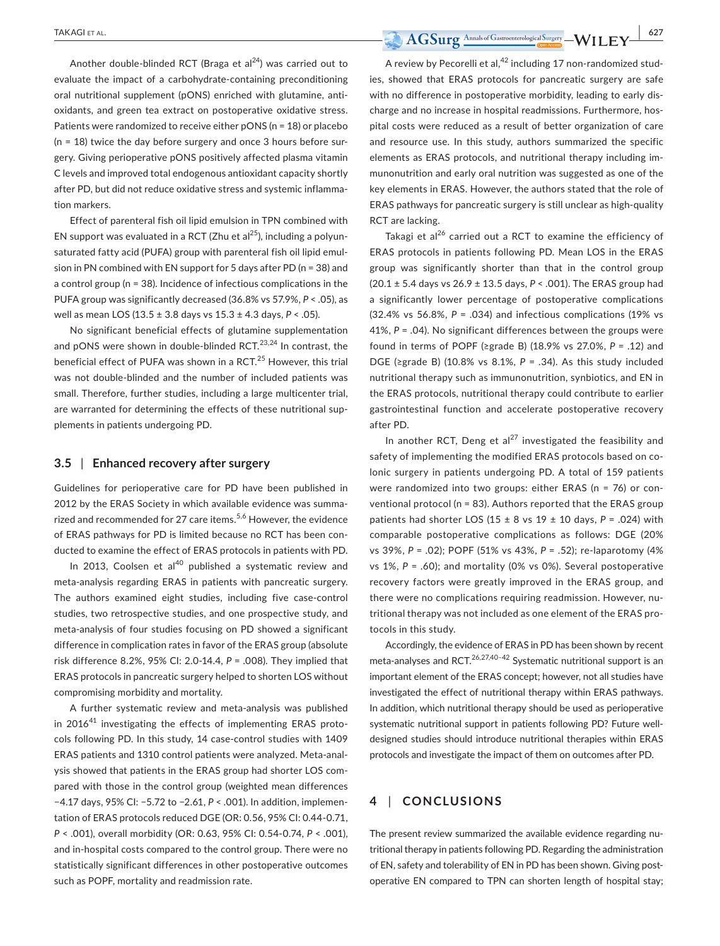Another double-blinded RCT (Braga et  $al^{24}$ ) was carried out to evaluate the impact of a carbohydrate‐containing preconditioning oral nutritional supplement (pONS) enriched with glutamine, antioxidants, and green tea extract on postoperative oxidative stress. Patients were randomized to receive either pONS (n = 18) or placebo  $(n = 18)$  twice the day before surgery and once 3 hours before surgery. Giving perioperative pONS positively affected plasma vitamin C levels and improved total endogenous antioxidant capacity shortly after PD, but did not reduce oxidative stress and systemic inflammation markers.

Effect of parenteral fish oil lipid emulsion in TPN combined with EN support was evaluated in a RCT (Zhu et al<sup>25</sup>), including a polyunsaturated fatty acid (PUFA) group with parenteral fish oil lipid emulsion in PN combined with EN support for 5 days after PD (n = 38) and a control group (n = 38). Incidence of infectious complications in the PUFA group was significantly decreased (36.8% vs 57.9%, *P* < .05), as well as mean LOS (13.5 ± 3.8 days vs 15.3 ± 4.3 days, *P* < .05).

No significant beneficial effects of glutamine supplementation and pONS were shown in double-blinded RCT. $23,24$  In contrast, the beneficial effect of PUFA was shown in a RCT.<sup>25</sup> However, this trial was not double-blinded and the number of included patients was small. Therefore, further studies, including a large multicenter trial, are warranted for determining the effects of these nutritional supplements in patients undergoing PD.

#### **3.5** | **Enhanced recovery after surgery**

Guidelines for perioperative care for PD have been published in 2012 by the ERAS Society in which available evidence was summarized and recommended for 27 care items.<sup>5,6</sup> However, the evidence of ERAS pathways for PD is limited because no RCT has been conducted to examine the effect of ERAS protocols in patients with PD.

In 2013, Coolsen et al $40$  published a systematic review and meta‐analysis regarding ERAS in patients with pancreatic surgery. The authors examined eight studies, including five case-control studies, two retrospective studies, and one prospective study, and meta‐analysis of four studies focusing on PD showed a significant difference in complication rates in favor of the ERAS group (absolute risk difference 8.2%, 95% CI: 2.0‐14.4, *P* = .008). They implied that ERAS protocols in pancreatic surgery helped to shorten LOS without compromising morbidity and mortality.

A further systematic review and meta‐analysis was published in 2016<sup>41</sup> investigating the effects of implementing ERAS protocols following PD. In this study, 14 case-control studies with 1409 ERAS patients and 1310 control patients were analyzed. Meta‐analysis showed that patients in the ERAS group had shorter LOS compared with those in the control group (weighted mean differences −4.17 days, 95% CI: −5.72 to −2.61, *P* < .001). In addition, implementation of ERAS protocols reduced DGE (OR: 0.56, 95% CI: 0.44‐0.71, *P* < .001), overall morbidity (OR: 0.63, 95% CI: 0.54‐0.74, *P* < .001), and in‐hospital costs compared to the control group. There were no statistically significant differences in other postoperative outcomes such as POPF, mortality and readmission rate.

A review by Pecorelli et al, $42$  including 17 non-randomized studies, showed that ERAS protocols for pancreatic surgery are safe with no difference in postoperative morbidity, leading to early discharge and no increase in hospital readmissions. Furthermore, hospital costs were reduced as a result of better organization of care and resource use. In this study, authors summarized the specific elements as ERAS protocols, and nutritional therapy including immunonutrition and early oral nutrition was suggested as one of the key elements in ERAS. However, the authors stated that the role of ERAS pathways for pancreatic surgery is still unclear as high‐quality RCT are lacking.

Takagi et al $^{26}$  carried out a RCT to examine the efficiency of ERAS protocols in patients following PD. Mean LOS in the ERAS group was significantly shorter than that in the control group (20.1 ± 5.4 days vs 26.9 ± 13.5 days, *P* < .001). The ERAS group had a significantly lower percentage of postoperative complications (32.4% vs 56.8%, *P* = .034) and infectious complications (19% vs 41%, *P* = .04). No significant differences between the groups were found in terms of POPF (≥grade B) (18.9% vs 27.0%, *P* = .12) and DGE (≥grade B) (10.8% vs 8.1%, *P* = .34). As this study included nutritional therapy such as immunonutrition, synbiotics, and EN in the ERAS protocols, nutritional therapy could contribute to earlier gastrointestinal function and accelerate postoperative recovery after PD.

In another RCT, Deng et al<sup>27</sup> investigated the feasibility and safety of implementing the modified ERAS protocols based on colonic surgery in patients undergoing PD. A total of 159 patients were randomized into two groups: either ERAS (n = 76) or conventional protocol (n = 83). Authors reported that the ERAS group patients had shorter LOS ( $15 \pm 8$  vs  $19 \pm 10$  days,  $P = .024$ ) with comparable postoperative complications as follows: DGE (20% vs 39%, *P* = .02); POPF (51% vs 43%, *P* = .52); re‐laparotomy (4% vs 1%, *P* = .60); and mortality (0% vs 0%). Several postoperative recovery factors were greatly improved in the ERAS group, and there were no complications requiring readmission. However, nutritional therapy was not included as one element of the ERAS protocols in this study.

Accordingly, the evidence of ERAS in PD has been shown by recent meta-analyses and RCT.<sup>26,27,40-42</sup> Systematic nutritional support is an important element of the ERAS concept; however, not all studies have investigated the effect of nutritional therapy within ERAS pathways. In addition, which nutritional therapy should be used as perioperative systematic nutritional support in patients following PD? Future well‐ designed studies should introduce nutritional therapies within ERAS protocols and investigate the impact of them on outcomes after PD.

# **4** | **CONCLUSIONS**

The present review summarized the available evidence regarding nutritional therapy in patients following PD. Regarding the administration of EN, safety and tolerability of EN in PD has been shown. Giving postoperative EN compared to TPN can shorten length of hospital stay;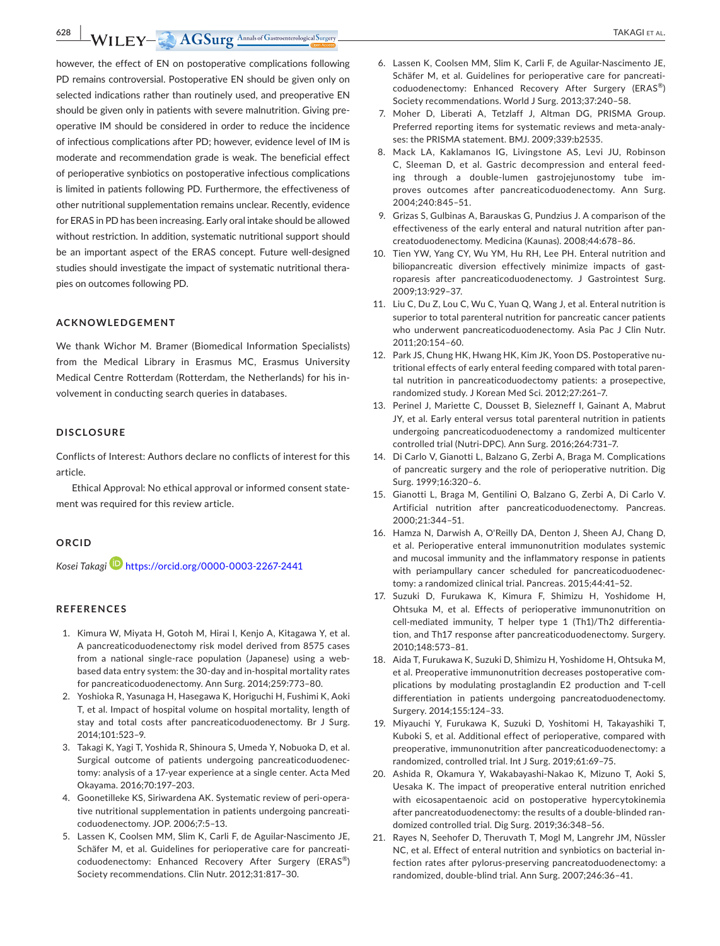**628 WILEY- AGSurg** Annals of Gastroenterological Surgery **and Amazing Annals of Gastroenterological** Surgery

however, the effect of EN on postoperative complications following PD remains controversial. Postoperative EN should be given only on selected indications rather than routinely used, and preoperative EN should be given only in patients with severe malnutrition. Giving preoperative IM should be considered in order to reduce the incidence of infectious complications after PD; however, evidence level of IM is moderate and recommendation grade is weak. The beneficial effect of perioperative synbiotics on postoperative infectious complications is limited in patients following PD. Furthermore, the effectiveness of other nutritional supplementation remains unclear. Recently, evidence for ERAS in PD has been increasing. Early oral intake should be allowed without restriction. In addition, systematic nutritional support should be an important aspect of the ERAS concept. Future well‐designed studies should investigate the impact of systematic nutritional therapies on outcomes following PD.

#### **ACKNOWLEDGEMENT**

We thank Wichor M. Bramer (Biomedical Information Specialists) from the Medical Library in Erasmus MC, Erasmus University Medical Centre Rotterdam (Rotterdam, the Netherlands) for his involvement in conducting search queries in databases.

#### **DISCLOSURE**

Conflicts of Interest: Authors declare no conflicts of interest for this article.

Ethical Approval: No ethical approval or informed consent statement was required for this review article.

#### **ORCID**

*Kosei Takag[i](https://orcid.org/0000-0003-2267-2441)* <https://orcid.org/0000-0003-2267-2441>

#### **REFERENCES**

- 1. Kimura W, Miyata H, Gotoh M, Hirai I, Kenjo A, Kitagawa Y, et al. A pancreaticoduodenectomy risk model derived from 8575 cases from a national single-race population (Japanese) using a webbased data entry system: the 30‐day and in‐hospital mortality rates for pancreaticoduodenectomy. Ann Surg. 2014;259:773–80.
- 2. Yoshioka R, Yasunaga H, Hasegawa K, Horiguchi H, Fushimi K, Aoki T, et al. Impact of hospital volume on hospital mortality, length of stay and total costs after pancreaticoduodenectomy. Br J Surg. 2014;101:523–9.
- 3. Takagi K, Yagi T, Yoshida R, Shinoura S, Umeda Y, Nobuoka D, et al. Surgical outcome of patients undergoing pancreaticoduodenectomy: analysis of a 17‐year experience at a single center. Acta Med Okayama. 2016;70:197–203.
- 4. Goonetilleke KS, Siriwardena AK. Systematic review of peri‐operative nutritional supplementation in patients undergoing pancreaticoduodenectomy. JOP. 2006;7:5–13.
- 5. Lassen K, Coolsen MM, Slim K, Carli F, de Aguilar‐Nascimento JE, Schäfer M, et al. Guidelines for perioperative care for pancreaticoduodenectomy: Enhanced Recovery After Surgery (ERAS®) Society recommendations. Clin Nutr. 2012;31:817–30.
- 6. Lassen K, Coolsen MM, Slim K, Carli F, de Aguilar‐Nascimento JE, Schäfer M, et al. Guidelines for perioperative care for pancreaticoduodenectomy: Enhanced Recovery After Surgery (ERAS®) Society recommendations. World J Surg. 2013;37:240–58.
- 7. Moher D, Liberati A, Tetzlaff J, Altman DG, PRISMA Group. Preferred reporting items for systematic reviews and meta‐analyses: the PRISMA statement. BMJ. 2009;339:b2535.
- 8. Mack LA, Kaklamanos IG, Livingstone AS, Levi JU, Robinson C, Sleeman D, et al. Gastric decompression and enteral feeding through a double‐lumen gastrojejunostomy tube improves outcomes after pancreaticoduodenectomy. Ann Surg. 2004;240:845–51.
- 9. Grizas S, Gulbinas A, Barauskas G, Pundzius J. A comparison of the effectiveness of the early enteral and natural nutrition after pancreatoduodenectomy. Medicina (Kaunas). 2008;44:678–86.
- 10. Tien YW, Yang CY, Wu YM, Hu RH, Lee PH. Enteral nutrition and biliopancreatic diversion effectively minimize impacts of gastroparesis after pancreaticoduodenectomy. J Gastrointest Surg. 2009;13:929–37.
- 11. Liu C, Du Z, Lou C, Wu C, Yuan Q, Wang J, et al. Enteral nutrition is superior to total parenteral nutrition for pancreatic cancer patients who underwent pancreaticoduodenectomy. Asia Pac J Clin Nutr. 2011;20:154–60.
- 12. Park JS, Chung HK, Hwang HK, Kim JK, Yoon DS. Postoperative nutritional effects of early enteral feeding compared with total parental nutrition in pancreaticoduodectomy patients: a prosepective, randomized study. J Korean Med Sci. 2012;27:261–7.
- 13. Perinel J, Mariette C, Dousset B, Sielezneff I, Gainant A, Mabrut JY, et al. Early enteral versus total parenteral nutrition in patients undergoing pancreaticoduodenectomy a randomized multicenter controlled trial (Nutri‐DPC). Ann Surg. 2016;264:731–7.
- 14. Di Carlo V, Gianotti L, Balzano G, Zerbi A, Braga M. Complications of pancreatic surgery and the role of perioperative nutrition. Dig Surg. 1999;16:320–6.
- 15. Gianotti L, Braga M, Gentilini O, Balzano G, Zerbi A, Di Carlo V. Artificial nutrition after pancreaticoduodenectomy. Pancreas. 2000;21:344–51.
- 16. Hamza N, Darwish A, O'Reilly DA, Denton J, Sheen AJ, Chang D, et al. Perioperative enteral immunonutrition modulates systemic and mucosal immunity and the inflammatory response in patients with periampullary cancer scheduled for pancreaticoduodenectomy: a randomized clinical trial. Pancreas. 2015;44:41–52.
- 17. Suzuki D, Furukawa K, Kimura F, Shimizu H, Yoshidome H, Ohtsuka M, et al. Effects of perioperative immunonutrition on cell-mediated immunity, T helper type 1 (Th1)/Th2 differentiation, and Th17 response after pancreaticoduodenectomy. Surgery. 2010;148:573–81.
- 18. Aida T, Furukawa K, Suzuki D, Shimizu H, Yoshidome H, Ohtsuka M, et al. Preoperative immunonutrition decreases postoperative complications by modulating prostaglandin E2 production and T‐cell differentiation in patients undergoing pancreatoduodenectomy. Surgery. 2014;155:124–33.
- 19. Miyauchi Y, Furukawa K, Suzuki D, Yoshitomi H, Takayashiki T, Kuboki S, et al. Additional effect of perioperative, compared with preoperative, immunonutrition after pancreaticoduodenectomy: a randomized, controlled trial. Int J Surg. 2019;61:69–75.
- 20. Ashida R, Okamura Y, Wakabayashi‐Nakao K, Mizuno T, Aoki S, Uesaka K. The impact of preoperative enteral nutrition enriched with eicosapentaenoic acid on postoperative hypercytokinemia after pancreatoduodenectomy: the results of a double‐blinded randomized controlled trial. Dig Surg. 2019;36:348–56.
- 21. Rayes N, Seehofer D, Theruvath T, Mogl M, Langrehr JM, Nüssler NC, et al. Effect of enteral nutrition and synbiotics on bacterial infection rates after pylorus‐preserving pancreatoduodenectomy: a randomized, double‐blind trial. Ann Surg. 2007;246:36–41.